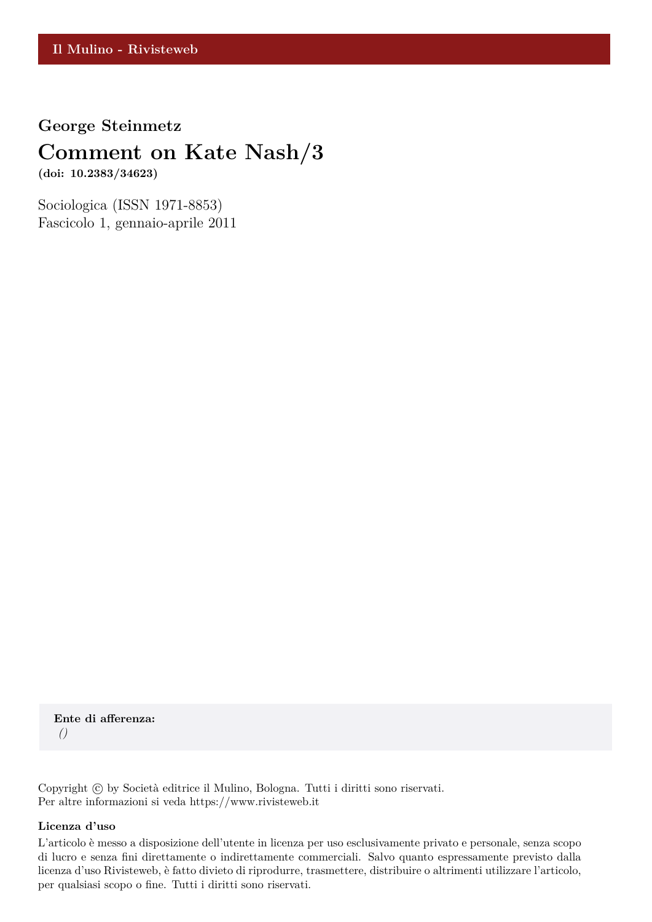**George Steinmetz**

## **Comment on Kate Nash/3**

**(doi: 10.2383/34623)**

Sociologica (ISSN 1971-8853) Fascicolo 1, gennaio-aprile 2011

**Ente di afferenza:** *()*

Copyright © by Società editrice il Mulino, Bologna. Tutti i diritti sono riservati. Per altre informazioni si veda https://www.rivisteweb.it

#### **Licenza d'uso**

L'articolo è messo a disposizione dell'utente in licenza per uso esclusivamente privato e personale, senza scopo di lucro e senza fini direttamente o indirettamente commerciali. Salvo quanto espressamente previsto dalla licenza d'uso Rivisteweb, è fatto divieto di riprodurre, trasmettere, distribuire o altrimenti utilizzare l'articolo, per qualsiasi scopo o fine. Tutti i diritti sono riservati.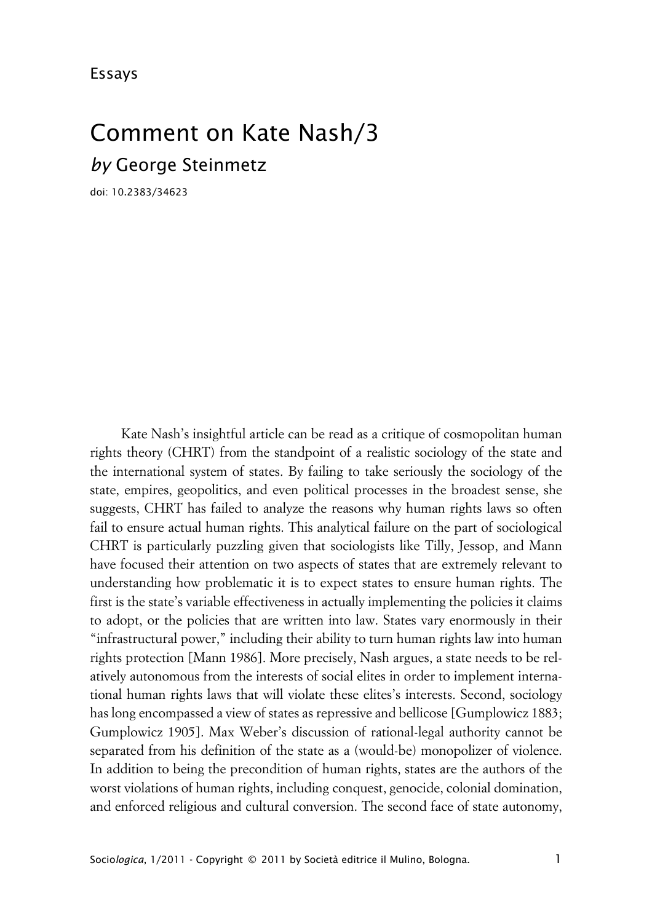# Comment on Kate Nash/3 *by* George Steinmetz

doi: 10.2383/34623

Kate Nash's insightful article can be read as a critique of cosmopolitan human rights theory (CHRT) from the standpoint of a realistic sociology of the state and the international system of states. By failing to take seriously the sociology of the state, empires, geopolitics, and even political processes in the broadest sense, she suggests, CHRT has failed to analyze the reasons why human rights laws so often fail to ensure actual human rights. This analytical failure on the part of sociological CHRT is particularly puzzling given that sociologists like Tilly, Jessop, and Mann have focused their attention on two aspects of states that are extremely relevant to understanding how problematic it is to expect states to ensure human rights. The first is the state's variable effectiveness in actually implementing the policies it claims to adopt, or the policies that are written into law. States vary enormously in their "infrastructural power," including their ability to turn human rights law into human rights protection [Mann 1986]. More precisely, Nash argues, a state needs to be relatively autonomous from the interests of social elites in order to implement international human rights laws that will violate these elites's interests. Second, sociology has long encompassed a view of states as repressive and bellicose [Gumplowicz 1883; Gumplowicz 1905]. Max Weber's discussion of rational-legal authority cannot be separated from his definition of the state as a (would-be) monopolizer of violence. In addition to being the precondition of human rights, states are the authors of the worst violations of human rights, including conquest, genocide, colonial domination, and enforced religious and cultural conversion. The second face of state autonomy,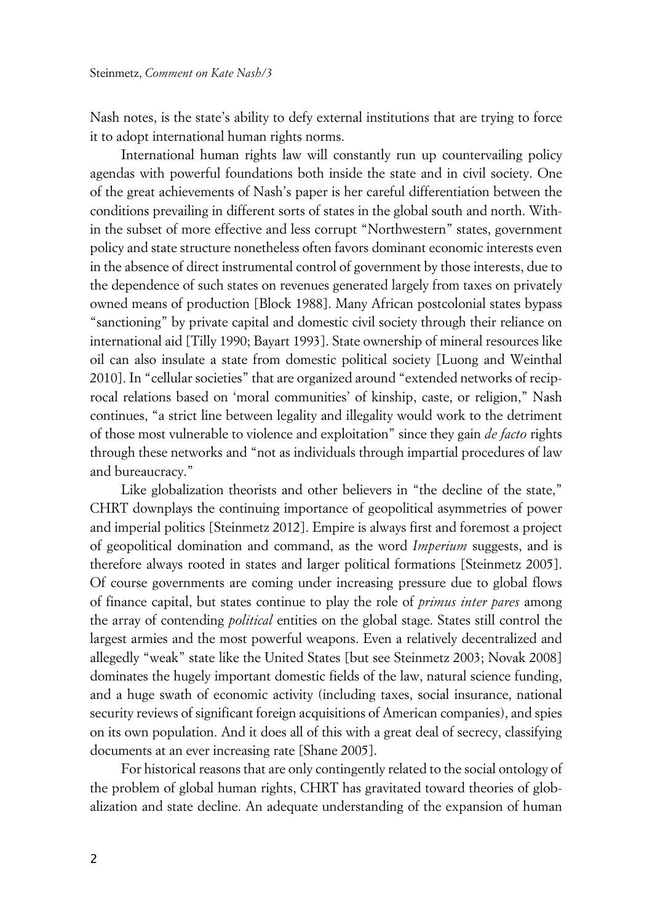Nash notes, is the state's ability to defy external institutions that are trying to force it to adopt international human rights norms.

International human rights law will constantly run up countervailing policy agendas with powerful foundations both inside the state and in civil society. One of the great achievements of Nash's paper is her careful differentiation between the conditions prevailing in different sorts of states in the global south and north. Within the subset of more effective and less corrupt "Northwestern" states, government policy and state structure nonetheless often favors dominant economic interests even in the absence of direct instrumental control of government by those interests, due to the dependence of such states on revenues generated largely from taxes on privately owned means of production [Block 1988]. Many African postcolonial states bypass "sanctioning" by private capital and domestic civil society through their reliance on international aid [Tilly 1990; Bayart 1993]. State ownership of mineral resources like oil can also insulate a state from domestic political society [Luong and Weinthal 2010]. In "cellular societies" that are organized around "extended networks of reciprocal relations based on 'moral communities' of kinship, caste, or religion," Nash continues, "a strict line between legality and illegality would work to the detriment of those most vulnerable to violence and exploitation" since they gain *de facto* rights through these networks and "not as individuals through impartial procedures of law and bureaucracy."

Like globalization theorists and other believers in "the decline of the state," CHRT downplays the continuing importance of geopolitical asymmetries of power and imperial politics [Steinmetz 2012]. Empire is always first and foremost a project of geopolitical domination and command, as the word *Imperium* suggests, and is therefore always rooted in states and larger political formations [Steinmetz 2005]. Of course governments are coming under increasing pressure due to global flows of finance capital, but states continue to play the role of *primus inter pares* among the array of contending *political* entities on the global stage. States still control the largest armies and the most powerful weapons. Even a relatively decentralized and allegedly "weak" state like the United States [but see Steinmetz 2003; Novak 2008] dominates the hugely important domestic fields of the law, natural science funding, and a huge swath of economic activity (including taxes, social insurance, national security reviews of significant foreign acquisitions of American companies), and spies on its own population. And it does all of this with a great deal of secrecy, classifying documents at an ever increasing rate [Shane 2005].

For historical reasons that are only contingently related to the social ontology of the problem of global human rights, CHRT has gravitated toward theories of globalization and state decline. An adequate understanding of the expansion of human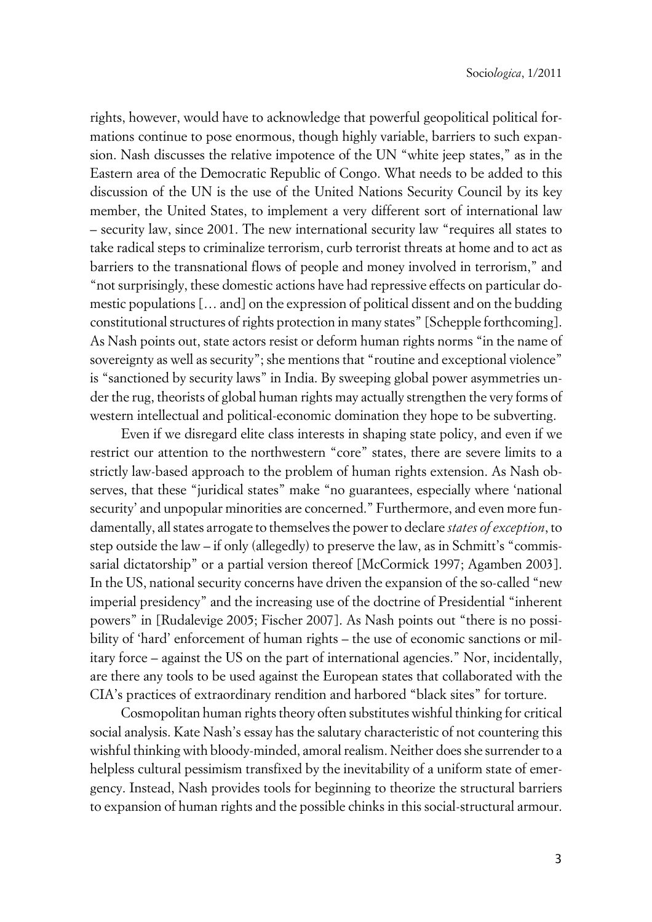rights, however, would have to acknowledge that powerful geopolitical political formations continue to pose enormous, though highly variable, barriers to such expansion. Nash discusses the relative impotence of the UN "white jeep states," as in the Eastern area of the Democratic Republic of Congo. What needs to be added to this discussion of the UN is the use of the United Nations Security Council by its key member, the United States, to implement a very different sort of international law – security law, since 2001. The new international security law "requires all states to take radical steps to criminalize terrorism, curb terrorist threats at home and to act as barriers to the transnational flows of people and money involved in terrorism," and "not surprisingly, these domestic actions have had repressive effects on particular domestic populations [… and] on the expression of political dissent and on the budding constitutional structures of rights protection in many states" [Schepple forthcoming]. As Nash points out, state actors resist or deform human rights norms "in the name of sovereignty as well as security"; she mentions that "routine and exceptional violence" is "sanctioned by security laws" in India. By sweeping global power asymmetries under the rug, theorists of global human rights may actually strengthen the very forms of western intellectual and political-economic domination they hope to be subverting.

Even if we disregard elite class interests in shaping state policy, and even if we restrict our attention to the northwestern "core" states, there are severe limits to a strictly law-based approach to the problem of human rights extension. As Nash observes, that these "juridical states" make "no guarantees, especially where 'national security' and unpopular minorities are concerned." Furthermore, and even more fundamentally, all states arrogate to themselves the power to declare *states of exception*, to step outside the law – if only (allegedly) to preserve the law, as in Schmitt's "commissarial dictatorship" or a partial version thereof [McCormick 1997; Agamben 2003]. In the US, national security concerns have driven the expansion of the so-called "new imperial presidency" and the increasing use of the doctrine of Presidential "inherent powers" in [Rudalevige 2005; Fischer 2007]. As Nash points out "there is no possibility of 'hard' enforcement of human rights – the use of economic sanctions or military force – against the US on the part of international agencies." Nor, incidentally, are there any tools to be used against the European states that collaborated with the CIA's practices of extraordinary rendition and harbored "black sites" for torture.

Cosmopolitan human rights theory often substitutes wishful thinking for critical social analysis. Kate Nash's essay has the salutary characteristic of not countering this wishful thinking with bloody-minded, amoral realism. Neither does she surrender to a helpless cultural pessimism transfixed by the inevitability of a uniform state of emergency. Instead, Nash provides tools for beginning to theorize the structural barriers to expansion of human rights and the possible chinks in this social-structural armour.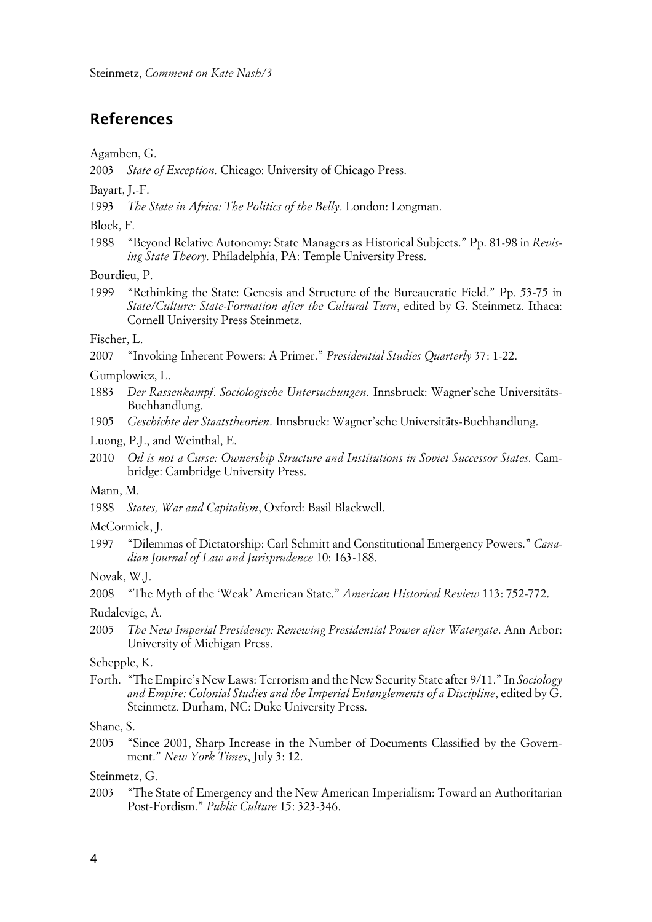## **References**

Agamben, G.

2003 *State of Exception.* Chicago: University of Chicago Press.

Bayart, J.-F.

1993 *The State in Africa: The Politics of the Belly*. London: Longman.

Block, F.

1988 "Beyond Relative Autonomy: State Managers as Historical Subjects." Pp. 81-98 in *Revising State Theory.* Philadelphia, PA: Temple University Press.

Bourdieu, P.

1999 "Rethinking the State: Genesis and Structure of the Bureaucratic Field." Pp. 53-75 in *State/Culture: State-Formation after the Cultural Turn*, edited by G. Steinmetz. Ithaca: Cornell University Press Steinmetz.

Fischer, L.

2007 "Invoking Inherent Powers: A Primer." *Presidential Studies Quarterly* 37: 1-22.

Gumplowicz, L.

- 1883 *Der Rassenkampf*. *Sociologische Untersuchungen*. Innsbruck: Wagner'sche Universitäts-Buchhandlung.
- 1905 *Geschichte der Staatstheorien*. Innsbruck: Wagner'sche Universitäts-Buchhandlung.

Luong, P.J., and Weinthal, E.

2010 *Oil is not a Curse: Ownership Structure and Institutions in Soviet Successor States.* Cambridge: Cambridge University Press.

#### Mann, M.

1988 *States, War and Capitalism*, Oxford: Basil Blackwell.

#### McCormick, J.

1997 "Dilemmas of Dictatorship: Carl Schmitt and Constitutional Emergency Powers." *Canadian Journal of Law and Jurisprudence* 10: 163-188.

Novak, W.J.

Rudalevige, A.

2005 *The New Imperial Presidency: Renewing Presidential Power after Watergate*. Ann Arbor: University of Michigan Press.

#### Schepple, K.

Forth. "The Empire's New Laws: Terrorism and the New Security State after 9/11." In *Sociology and Empire: Colonial Studies and the Imperial Entanglements of a Discipline*, edited by G. Steinmetz*.* Durham, NC: Duke University Press.

Shane, S.

2005 "Since 2001, Sharp Increase in the Number of Documents Classified by the Government." *New York Times*, July 3: 12.

Steinmetz, G.

2003 "The State of Emergency and the New American Imperialism: Toward an Authoritarian Post-Fordism." *Public Culture* 15: 323-346.

<sup>2008</sup> "The Myth of the 'Weak' American State." *American Historical Review* 113: 752-772.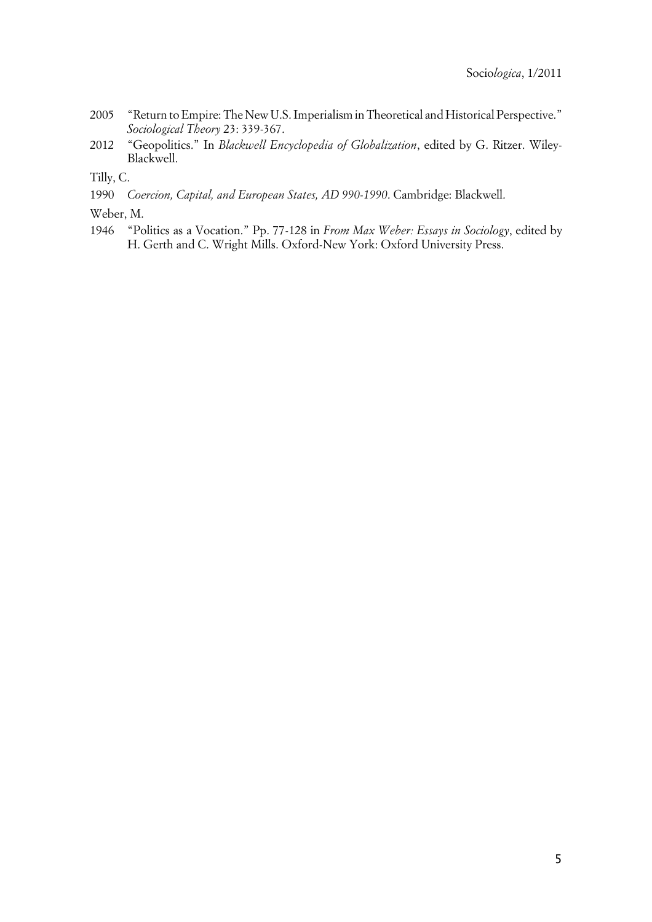- 2005 "Return to Empire: The New U.S. Imperialism in Theoretical and Historical Perspective." *Sociological Theory* 23: 339-367.
- 2012 "Geopolitics." In *Blackwell Encyclopedia of Globalization*, edited by G. Ritzer. Wiley-Blackwell.

Tilly, C.

- 1990 *Coercion, Capital, and European States, AD 990-1990*. Cambridge: Blackwell.
- Weber, M.
- 1946 "Politics as a Vocation." Pp. 77-128 in *From Max Weber: Essays in Sociology*, edited by H. Gerth and C. Wright Mills. Oxford-New York: Oxford University Press.